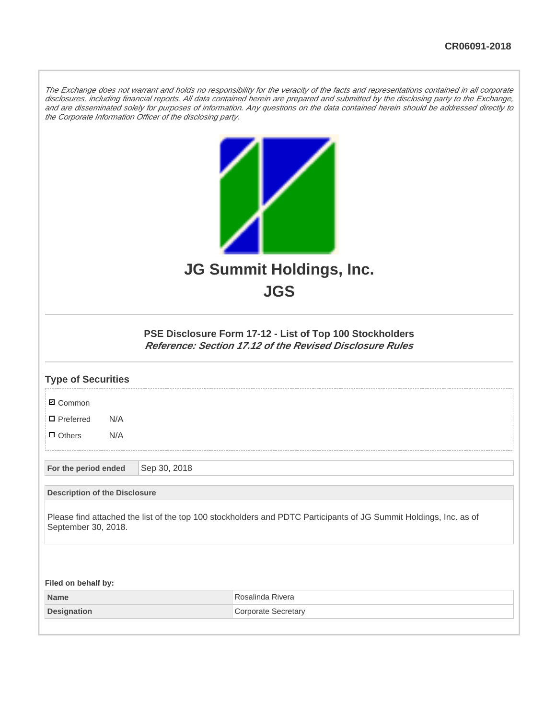The Exchange does not warrant and holds no responsibility for the veracity of the facts and representations contained in all corporate disclosures, including financial reports. All data contained herein are prepared and submitted by the disclosing party to the Exchange, and are disseminated solely for purposes of information. Any questions on the data contained herein should be addressed directly to the Corporate Information Officer of the disclosing party.



## **PSE Disclosure Form 17-12 - List of Top 100 Stockholders Reference: Section 17.12 of the Revised Disclosure Rules**

| <b>Type of Securities</b>                                                                                                                |              |                            |  |  |  |
|------------------------------------------------------------------------------------------------------------------------------------------|--------------|----------------------------|--|--|--|
| <b>Ø</b> Common                                                                                                                          |              |                            |  |  |  |
| $\Box$ Preferred<br>N/A                                                                                                                  |              |                            |  |  |  |
| $\Box$ Others<br>N/A                                                                                                                     |              |                            |  |  |  |
| For the period ended                                                                                                                     | Sep 30, 2018 |                            |  |  |  |
| <b>Description of the Disclosure</b>                                                                                                     |              |                            |  |  |  |
| Please find attached the list of the top 100 stockholders and PDTC Participants of JG Summit Holdings, Inc. as of<br>September 30, 2018. |              |                            |  |  |  |
|                                                                                                                                          |              |                            |  |  |  |
| Filed on behalf by:                                                                                                                      |              |                            |  |  |  |
| <b>Name</b>                                                                                                                              |              | Rosalinda Rivera           |  |  |  |
| <b>Designation</b>                                                                                                                       |              | <b>Corporate Secretary</b> |  |  |  |
|                                                                                                                                          |              |                            |  |  |  |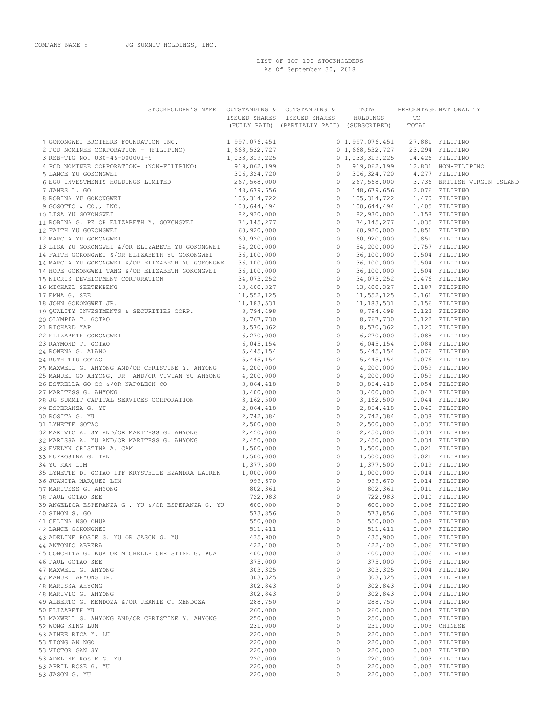LIST OF TOP 100 STOCKHOLDERS As Of September 30, 2018

| STOCKHOLDER'S NAME OUTSTANDING & OUTSTANDING &                      |                    |                                            | TOTAL                           |       | PERCENTAGE NATIONALITY           |
|---------------------------------------------------------------------|--------------------|--------------------------------------------|---------------------------------|-------|----------------------------------|
|                                                                     |                    | ISSUED SHARES ISSUED SHARES HOLDINGS       |                                 | TO    |                                  |
|                                                                     |                    | (FULLY PAID) (PARTIALLY PAID) (SUBSCRIBED) |                                 | TOTAL |                                  |
| 1 GOKONGWEI BROTHERS FOUNDATION INC. 1,997,076,451                  |                    |                                            | 0 1,997,076,451 27.881 FILIPINO |       |                                  |
| 2 PCD NOMINEE CORPORATION - (FILIPINO)                              | 1,668,532,727      |                                            | 0 1,668,532,727 23.294 FILIPINO |       |                                  |
|                                                                     |                    |                                            |                                 |       |                                  |
|                                                                     |                    |                                            |                                 |       |                                  |
|                                                                     |                    |                                            |                                 |       |                                  |
|                                                                     |                    |                                            |                                 |       |                                  |
|                                                                     |                    |                                            |                                 |       |                                  |
|                                                                     |                    |                                            |                                 |       |                                  |
|                                                                     |                    |                                            |                                 |       |                                  |
|                                                                     |                    |                                            |                                 |       |                                  |
|                                                                     |                    |                                            |                                 |       |                                  |
|                                                                     |                    |                                            |                                 |       |                                  |
|                                                                     |                    |                                            |                                 |       |                                  |
|                                                                     |                    |                                            |                                 |       |                                  |
|                                                                     |                    |                                            |                                 |       |                                  |
|                                                                     |                    |                                            |                                 |       |                                  |
|                                                                     |                    |                                            |                                 |       |                                  |
|                                                                     |                    |                                            |                                 |       |                                  |
|                                                                     |                    |                                            |                                 |       |                                  |
|                                                                     |                    |                                            |                                 |       |                                  |
|                                                                     |                    |                                            |                                 |       |                                  |
|                                                                     |                    |                                            |                                 |       |                                  |
|                                                                     |                    |                                            |                                 |       |                                  |
|                                                                     |                    |                                            |                                 |       |                                  |
|                                                                     |                    |                                            |                                 |       |                                  |
|                                                                     |                    |                                            |                                 |       |                                  |
|                                                                     |                    |                                            |                                 |       |                                  |
|                                                                     |                    |                                            |                                 |       |                                  |
|                                                                     |                    |                                            |                                 |       |                                  |
|                                                                     |                    |                                            |                                 |       |                                  |
|                                                                     |                    |                                            |                                 |       |                                  |
|                                                                     |                    |                                            |                                 |       |                                  |
|                                                                     |                    |                                            |                                 |       |                                  |
|                                                                     |                    |                                            |                                 |       |                                  |
|                                                                     |                    |                                            |                                 |       |                                  |
|                                                                     |                    |                                            |                                 |       |                                  |
|                                                                     |                    |                                            |                                 |       |                                  |
|                                                                     |                    |                                            |                                 |       |                                  |
|                                                                     |                    |                                            |                                 |       |                                  |
|                                                                     |                    |                                            |                                 |       |                                  |
|                                                                     |                    |                                            |                                 |       |                                  |
|                                                                     |                    |                                            |                                 |       |                                  |
|                                                                     |                    |                                            |                                 |       |                                  |
|                                                                     |                    |                                            |                                 |       |                                  |
|                                                                     |                    |                                            |                                 |       |                                  |
|                                                                     |                    |                                            |                                 |       |                                  |
|                                                                     |                    |                                            |                                 |       |                                  |
| 41 CELINA NGO CHUA                                                  | 550,000            | $\circ$                                    | 550,000                         |       | 0.008 FILIPINO                   |
| 42 LANCE GOKONGWEI                                                  | 511,411            | $\circ$                                    | 511, 411                        |       | 0.007 FILIPINO                   |
| 43 ADELINE ROSIE G. YU OR JASON G. YU                               | 435,900            | $\circ$                                    | 435,900                         |       | 0.006 FILIPINO                   |
| 44 ANTONIO ABRERA                                                   | 422,400            | $\circ$                                    | 422,400                         |       | 0.006 FILIPINO                   |
| 45 CONCHITA G. KUA OR MICHELLE CHRISTINE G. KUA                     | 400,000            | $\circ$                                    | 400,000                         |       | 0.006 FILIPINO                   |
| 46 PAUL GOTAO SEE                                                   | 375,000            | $\circ$                                    | 375,000                         |       | 0.005 FILIPINO                   |
| 47 MAXWELL G. AHYONG                                                | 303,325            | $\circ$                                    | 303,325                         |       | 0.004 FILIPINO                   |
| 47 MANUEL AHYONG JR.                                                | 303,325            | $\circ$<br>$\circ$                         | 303,325                         |       | 0.004 FILIPINO                   |
| 48 MARISSA AHYONG                                                   | 302,843            |                                            | 302,843                         |       | 0.004 FILIPINO                   |
| 48 MARIVIC G. AHYONG                                                | 302,843            | $\circ$                                    | 302,843                         |       | 0.004 FILIPINO<br>0.004 FILIPINO |
| 49 ALBERTO G. MENDOZA &/OR JEANIE C. MENDOZA                        | 288,750            | $\circ$<br>$\circ$                         | 288,750                         |       |                                  |
| 50 ELIZABETH YU                                                     | 260,000            |                                            | 260,000                         |       | 0.004 FILIPINO                   |
| 51 MAXWELL G. AHYONG AND/OR CHRISTINE Y. AHYONG<br>52 WONG KING LUN | 250,000            | $\circ$<br>$\circ$                         | 250,000                         |       | 0.003 FILIPINO                   |
|                                                                     | 231,000            | $\circ$                                    | 231,000                         |       | 0.003 CHINESE                    |
| 53 AIMEE RICA Y. LU                                                 | 220,000            | $\circ$                                    | 220,000                         |       | 0.003 FILIPINO                   |
| 53 TIONG AN NGO                                                     | 220,000            | $\circ$                                    | 220,000                         |       | 0.003 FILIPINO                   |
| 53 VICTOR GAN SY                                                    | 220,000<br>220,000 | $\circ$                                    | 220,000<br>220,000              |       | 0.003 FILIPINO                   |
| 53 ADELINE ROSIE G. YU<br>53 APRIL ROSE G. YU                       | 220,000            | 0                                          | 220,000                         |       | 0.003 FILIPINO<br>0.003 FILIPINO |
| 53 JASON G. YU                                                      | 220,000            | 0                                          | 220,000                         |       | 0.003 FILIPINO                   |
|                                                                     |                    |                                            |                                 |       |                                  |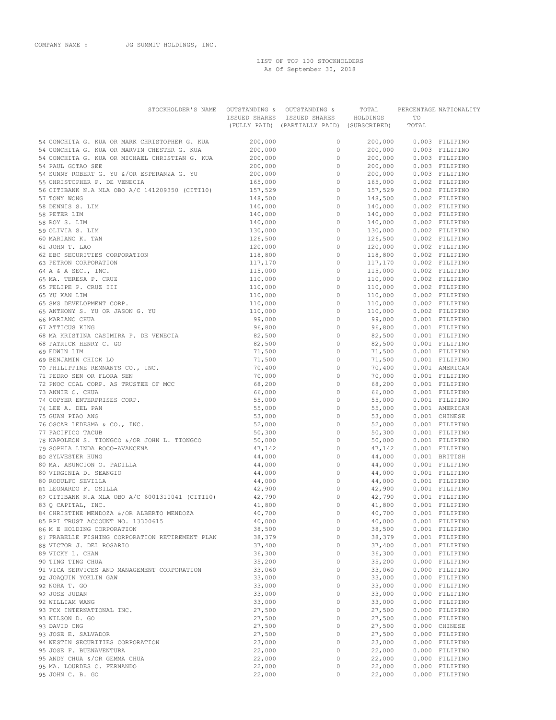LIST OF TOP 100 STOCKHOLDERS As Of September 30, 2018

| STOCKHOLDER'S NAME                                                                                                                                                                                                                                         |                    | OUTSTANDING & OUTSTANDING &                                               | TOTAL              |                                                          | PERCENTAGE NATIONALITY           |
|------------------------------------------------------------------------------------------------------------------------------------------------------------------------------------------------------------------------------------------------------------|--------------------|---------------------------------------------------------------------------|--------------------|----------------------------------------------------------|----------------------------------|
|                                                                                                                                                                                                                                                            |                    | ISSUED SHARES ISSUED SHARES<br>(FULLY PAID) (PARTIALLY PAID) (SUBSCRIBED) | HOLDINGS           | TO<br>TOTAL                                              |                                  |
|                                                                                                                                                                                                                                                            |                    |                                                                           |                    |                                                          |                                  |
| 54 CONCHITA G. KUA OR MARK CHRISTOPHER G. KUA                                                                                                                                                                                                              | 200,000            | $\circ$                                                                   | 200,000            | 0.003 FILIPINO                                           |                                  |
| 54 CONCHITA G. KUA OR MARVIN CHESTER G. KUA                                                                                                                                                                                                                | 200,000            | $\circ$                                                                   | 200,000            |                                                          | 0.003 FILIPINO                   |
| 54 CONCHITA G. KUA OR MICHAEL CHRISTIAN G. KUA                                                                                                                                                                                                             | 200,000            | $\circ$                                                                   | 200,000            |                                                          | 0.003 FILIPINO                   |
| 54 PAUL GOTAO SEE                                                                                                                                                                                                                                          | 200,000            | $\circ$                                                                   | 200,000            |                                                          | 0.003 FILIPINO                   |
| 54 SUNNY ROBERT G. YU &/OR ESPERANZA G. YU                                                                                                                                                                                                                 | 200,000            | $\circ$                                                                   | 200,000            |                                                          | 0.003 FILIPINO                   |
| 55 CHRISTOPHER P. DE VENECIA<br>56 CITIBANK N.A MLA OBO A/C 141209350 (CITI10)                                                                                                                                                                             | 165,000<br>157,529 | $\circ$<br>$\overline{0}$                                                 |                    | 165,000 0.002 FILIPINO                                   |                                  |
| 57 TONY WONG                                                                                                                                                                                                                                               | 148,500            | $\circ$                                                                   |                    | 157,529 0.002 FILIPINO<br>148,500 0.002 FILIPINO         |                                  |
| 58 DENNIS S. LIM                                                                                                                                                                                                                                           | 140,000            | $\overline{0}$                                                            |                    | 140,000 0.002 FILIPINO                                   |                                  |
| 58 PETER LIM                                                                                                                                                                                                                                               | 140,000            | $\overline{0}$                                                            |                    | 140,000 0.002 FILIPINO                                   |                                  |
| 58 ROY S. LIM                                                                                                                                                                                                                                              | 140,000            | $\overline{0}$                                                            |                    |                                                          |                                  |
| 59 OLIVIA S. LIM<br>60 MARIANO K. TAN<br>61 JOHN T. LAO<br>62 EEC SECURITIES CORPORATION<br>63 PETRON CORPORATION<br>64 A & A SEC., INC.<br>65 MA. TERESA P. CRUZ<br>65 FELIPE P. CRUZ III<br>65 YU KAN LIM<br>65 SMS DEVELOPMENT CORP.<br>66 MAPIANO CHIA | 130,000            | $\overline{0}$                                                            |                    | 140,000 0.002 FILIPINO<br>130,000 0.002 FILIPINO         |                                  |
|                                                                                                                                                                                                                                                            | 126,500            | $\circ$                                                                   |                    | 126,500   0.002   FILIPINO<br>120,000   0.002   FILIPINO |                                  |
|                                                                                                                                                                                                                                                            | 120,000            | $\overline{0}$                                                            |                    |                                                          |                                  |
|                                                                                                                                                                                                                                                            | 118,800            | $\circ$                                                                   | 118,800            |                                                          | 0.002 FILIPINO                   |
|                                                                                                                                                                                                                                                            | 117,170            | $\overline{0}$                                                            | 117,170            |                                                          | 0.002 FILIPINO                   |
|                                                                                                                                                                                                                                                            | 115,000<br>110,000 | $\circ$<br>$\circ$                                                        | 115,000<br>110,000 |                                                          | 0.002 FILIPINO<br>0.002 FILIPINO |
|                                                                                                                                                                                                                                                            | 110,000            | $\circ$                                                                   | 110,000            |                                                          | 0.002 FILIPINO                   |
|                                                                                                                                                                                                                                                            | 110,000            | $\circ$                                                                   | 110,000            |                                                          | 0.002 FILIPINO                   |
|                                                                                                                                                                                                                                                            | 110,000            | $\circ$                                                                   | 110,000            |                                                          | 0.002 FILIPINO                   |
|                                                                                                                                                                                                                                                            | 110,000            | $\circ$                                                                   | 110,000            |                                                          | 0.002 FILIPINO                   |
| 66 MARIANO CHUA                                                                                                                                                                                                                                            | 99,000             | $\circ$                                                                   | 99,000             |                                                          | 0.001 FILIPINO                   |
| 67 ATTICUS KING                                                                                                                                                                                                                                            | 96,800             | $\circ$                                                                   | 96,800             |                                                          | 0.001 FILIPINO                   |
| 68 MA KRISTINA CASIMIRA P. DE VENECIA                                                                                                                                                                                                                      | 82,500             | $\circ$                                                                   | 82,500             |                                                          | 0.001 FILIPINO                   |
| 68 PATRICK HENRY C. GO                                                                                                                                                                                                                                     | 82,500             | $\circ$                                                                   | 82,500             |                                                          | 0.001 FILIPINO                   |
| 69 EDWIN LIM                                                                                                                                                                                                                                               | 71,500             | $\circ$                                                                   | 71,500             |                                                          | 0.001 FILIPINO                   |
| 69 BENJAMIN CHIOK LO                                                                                                                                                                                                                                       | 71,500             | $\circ$<br>$\circ$                                                        | 71,500             |                                                          | 0.001 FILIPINO<br>0.001 AMERICAN |
| 70 PHILIPPINE REMNANTS CO., INC.<br>71 PEDRO SEN OR FLORA SEN                                                                                                                                                                                              | 70,400<br>70,000   | $\circ$                                                                   | 70,400<br>70,000   |                                                          | 0.001 FILIPINO                   |
| 72 PNOC COAL CORP. AS TRUSTEE OF MCC                                                                                                                                                                                                                       | 68,200             | $\circ$                                                                   | 68,200             |                                                          | 0.001 FILIPINO                   |
| 73 ANNIE C. CHUA                                                                                                                                                                                                                                           | 66,000             | $\circ$                                                                   | 66,000             |                                                          | 0.001 FILIPINO                   |
| 74 COPYER ENTERPRISES CORP.                                                                                                                                                                                                                                | 55,000             | $\circ$                                                                   | 55,000             |                                                          | 0.001 FILIPINO                   |
| 74 LEE A. DEL PAN                                                                                                                                                                                                                                          | 55,000             | $\overline{0}$                                                            | 55,000             |                                                          | 0.001 AMERICAN                   |
| 75 GUAN PIAO ANG                                                                                                                                                                                                                                           | 53,000             | $\circ$                                                                   | 53,000             |                                                          | 0.001 CHINESE                    |
| 76 OSCAR LEDESMA & CO., INC.                                                                                                                                                                                                                               | 52,000             | $\circ$                                                                   | 52,000             |                                                          | 0.001 FILIPINO                   |
| 77 PACIFICO TACUB                                                                                                                                                                                                                                          | 50,300             | $\circ$                                                                   | 50,300             |                                                          | 0.001 FILIPINO                   |
| 78 NAPOLEON S. TIONGCO &/OR JOHN L. TIONGCO<br>79 SOPHIA LINDA ROCO-AVANCENA                                                                                                                                                                               | 50,000             | $\circ$<br>$\circ$                                                        | 50,000             |                                                          | 0.001 FILIPINO                   |
| 80 SYLVESTER HUNG                                                                                                                                                                                                                                          | 47,142<br>44,000   | $\circ$                                                                   | 47,142<br>44,000   |                                                          | 0.001 FILIPINO<br>0.001 BRITISH  |
| 80 MA. ASUNCION O. PADILLA                                                                                                                                                                                                                                 | 44,000             | $\overline{0}$                                                            | 44,000             |                                                          | 0.001 FILIPINO                   |
| 80 VIRGINIA D. SEANGIO                                                                                                                                                                                                                                     | 44,000             | 0                                                                         | 44,000             |                                                          | 0.001 FILIPINO                   |
| 80 RODULFO SEVILLA                                                                                                                                                                                                                                         | 44,000             | $\overline{0}$                                                            | 44,000             |                                                          | 0.001 FILIPINO                   |
| 81 LEONARDO F. OSILLA                                                                                                                                                                                                                                      | 42,900             | $\circ$                                                                   | 42,900             |                                                          | 0.001 FILIPINO                   |
| 82 CITIBANK N.A MLA OBO A/C 6001310041 (CITI10)                                                                                                                                                                                                            | 42,790             | $\circ$                                                                   |                    | 42,790   0.001   FILIPINO                                |                                  |
| 83 Q CAPITAL, INC.                                                                                                                                                                                                                                         | 41,800             | $\circ$                                                                   | 41,800             |                                                          | 0.001 FILIPINO                   |
| 84 CHRISTINE MENDOZA &/OR ALBERTO MENDOZA                                                                                                                                                                                                                  | 40,700             | $\circ$                                                                   | 40,700             |                                                          | 0.001 FILIPINO                   |
| 85 BPI TRUST ACCOUNT NO. 13300615                                                                                                                                                                                                                          | 40,000             | $\circ$                                                                   | 40,000             |                                                          | 0.001 FILIPINO                   |
| 86 M E HOLDING CORPORATION<br>87 FRABELLE FISHING CORPORATION RETIREMENT PLAN                                                                                                                                                                              | 38,500<br>38,379   | $\circ$<br>$\circ$                                                        | 38,500<br>38,379   |                                                          | 0.001 FILIPINO<br>0.001 FILIPINO |
| 88 VICTOR J. DEL ROSARIO                                                                                                                                                                                                                                   | 37,400             | $\circ$                                                                   | 37,400             |                                                          | 0.001 FILIPINO                   |
| 89 VICKY L. CHAN                                                                                                                                                                                                                                           | 36,300             | $\circ$                                                                   | 36,300             |                                                          | 0.001 FILIPINO                   |
| 90 TING TING CHUA                                                                                                                                                                                                                                          | 35,200             | $\circ$                                                                   | 35,200             |                                                          | 0.000 FILIPINO                   |
| 91 VICA SERVICES AND MANAGEMENT CORPORATION                                                                                                                                                                                                                | 33,060             | $\circ$                                                                   | 33,060             |                                                          | 0.000 FILIPINO                   |
| 92 JOAQUIN YOKLIN GAW                                                                                                                                                                                                                                      | 33,000             | $\circ$                                                                   | 33,000             |                                                          | 0.000 FILIPINO                   |
| 92 NORA T. GO                                                                                                                                                                                                                                              | 33,000             | $\circ$                                                                   | 33,000             |                                                          | 0.000 FILIPINO                   |
| 92 JOSE JUDAN                                                                                                                                                                                                                                              | 33,000             | $\circ$                                                                   | 33,000             |                                                          | 0.000 FILIPINO                   |
| 92 WILLIAM WANG                                                                                                                                                                                                                                            | 33,000             | $\circ$                                                                   | 33,000             |                                                          | 0.000 FILIPINO                   |
| 93 FCX INTERNATIONAL INC.                                                                                                                                                                                                                                  | 27,500             | $\circ$                                                                   | 27,500             |                                                          | 0.000 FILIPINO                   |
| 93 WILSON D. GO<br>93 DAVID ONG                                                                                                                                                                                                                            | 27,500<br>27,500   | $\circ$<br>$\circ$                                                        | 27,500<br>27,500   |                                                          | 0.000 FILIPINO<br>0.000 CHINESE  |
| 93 JOSE E. SALVADOR                                                                                                                                                                                                                                        | 27,500             | $\circ$                                                                   | 27,500             |                                                          | 0.000 FILIPINO                   |
| 94 WESTIN SECURITIES CORPORATION                                                                                                                                                                                                                           | 23,000             | $\circ$                                                                   | 23,000             |                                                          | 0.000 FILIPINO                   |
| 95 JOSE F. BUENAVENTURA                                                                                                                                                                                                                                    | 22,000             | $\circ$                                                                   | 22,000             |                                                          | 0.000 FILIPINO                   |
| 95 ANDY CHUA &/OR GEMMA CHUA                                                                                                                                                                                                                               | 22,000             | $\circ$                                                                   | 22,000             |                                                          | 0.000 FILIPINO                   |
| 95 MA. LOURDES C. FERNANDO                                                                                                                                                                                                                                 | 22,000             | $\circ$                                                                   | 22,000             |                                                          | 0.000 FILIPINO                   |
| 95 JOHN C. B. GO                                                                                                                                                                                                                                           | 22,000             | $\circ$                                                                   | 22,000             |                                                          | 0.000 FILIPINO                   |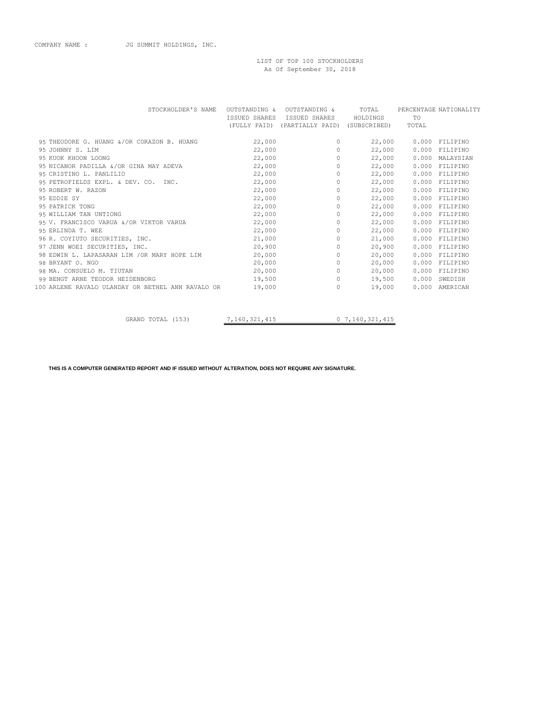## LIST OF TOP 100 STOCKHOLDERS As Of September 30, 2018

| STOCKHOLDER'S NAME                                |        | OUTSTANDING & OUTSTANDING & TOTAL PERCENTAGE NATIONALITY |                                 |    |                 |
|---------------------------------------------------|--------|----------------------------------------------------------|---------------------------------|----|-----------------|
|                                                   |        | ISSUED SHARES ISSUED SHARES HOLDINGS                     |                                 | TO |                 |
|                                                   |        | (FULLY PAID) (PARTIALLY PAID) (SUBSCRIBED) TOTAL         |                                 |    |                 |
|                                                   |        |                                                          |                                 |    |                 |
| 95 THEODORE G. HUANG &/OR CORAZON B. HUANG        | 22,000 | $\Omega$                                                 | 22,000                          |    | 0.000 FILIPINO  |
| 95 JOHNNY S. LIM                                  | 22,000 |                                                          | $\Omega$ and $\Omega$<br>22,000 |    | 0.000 FILIPINO  |
| 95 KUOK KHOON LOONG                               | 22,000 | $\circ$                                                  | 22,000                          |    | 0.000 MALAYSIAN |
| 95 NICANOR PADILLA &/OR GINA MAY ADEVA 22,000     |        | $\overline{0}$                                           | 22,000                          |    | 0.000 FILIPINO  |
| 95 CRISTINO L. PANLILIO                           | 22,000 | $\circ$                                                  | 22,000                          |    | 0.000 FILIPINO  |
| 95 PETROFIELDS EXPL. & DEV. CO. INC. 22,000       |        | $\bigcirc$                                               | 22,000                          |    | 0.000 FILIPINO  |
| 95 ROBERT W. RAZON                                | 22,000 | $\circ$                                                  | 22,000                          |    | 0.000 FILIPINO  |
| 95 EDDIE SY                                       | 22,000 | $\circ$                                                  | 22,000                          |    | 0.000 FILIPINO  |
| 95 PATRICK TONG                                   | 22,000 | $\circ$                                                  | 22,000                          |    | 0.000 FILIPINO  |
| 95 WILLIAM TAN UNTIONG                            | 22,000 | $\circ$                                                  | 22,000                          |    | 0.000 FILIPINO  |
| 95 V. FRANCISCO VARUA &/OR VIKTOR VARUA           | 22,000 | $\circ$                                                  | 22,000                          |    | 0.000 FILIPINO  |
| 95 ERLINDA T. WEE                                 | 22,000 | $\circ$                                                  | 22,000                          |    | 0.000 FILIPINO  |
| 96 R. COYIUTO SECURITIES, INC.                    | 21,000 | $\circ$                                                  | 21,000                          |    | 0.000 FILIPINO  |
| 97 JENN WOEI SECURITIES, INC.                     | 20,900 | $\circ$                                                  | 20,900                          |    | 0.000 FILIPINO  |
| 98 EDWIN L. LAPASARAN LIM /OR MARY HOPE LIM       | 20,000 | $\circ$                                                  | 20,000                          |    | 0.000 FILIPINO  |
| 98 BRYANT O. NGO                                  | 20,000 | $\circ$                                                  | 20,000                          |    | 0.000 FILIPINO  |
| 98 MA. CONSUELO M. TIUTAN                         | 20,000 | $\overline{0}$                                           | 20,000                          |    | 0.000 FILIPINO  |
| 99 BENGT ARNE TEODOR HEIDENBORG                   | 19,500 | $\circ$                                                  | 19,500                          |    | 0.000 SWEDISH   |
| 100 ARLENE RAVALO ULANDAY OR BETHEL ANN RAVALO OR | 19,000 | $\circ$                                                  | 19,000                          |    | 0.000 AMERICAN  |
|                                                   |        |                                                          |                                 |    |                 |
|                                                   |        |                                                          |                                 |    |                 |

GRAND TOTAL (153)  $7,160,321,415$  0 7,160,321,415

**THIS IS A COMPUTER GENERATED REPORT AND IF ISSUED WITHOUT ALTERATION, DOES NOT REQUIRE ANY SIGNATURE.**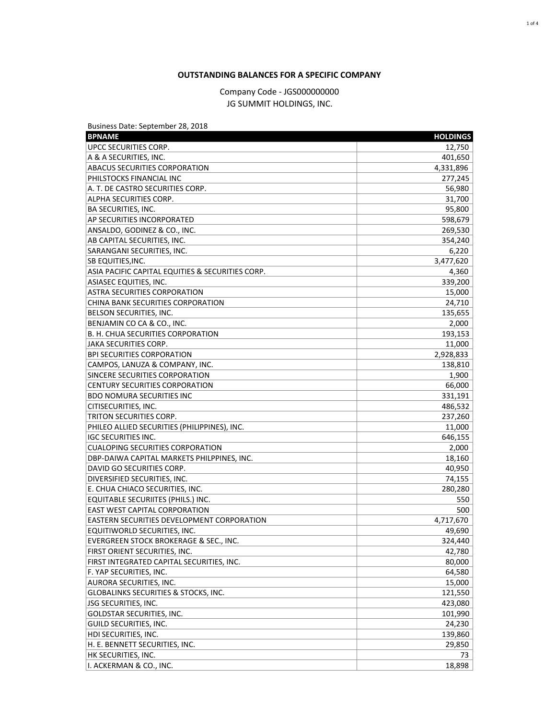## **OUTSTANDING BALANCES FOR A SPECIFIC COMPANY**

Company Code - JGS000000000 JG SUMMIT HOLDINGS, INC.

| Business Date: September 28, 2018                |                    |
|--------------------------------------------------|--------------------|
| <b>BPNAME</b>                                    | <b>HOLDINGS</b>    |
| <b>UPCC SECURITIES CORP.</b>                     | 12,750             |
| A & A SECURITIES, INC.                           | 401,650            |
| <b>ABACUS SECURITIES CORPORATION</b>             | 4,331,896          |
| PHILSTOCKS FINANCIAL INC                         | 277,245            |
| A. T. DE CASTRO SECURITIES CORP.                 | 56,980             |
| ALPHA SECURITIES CORP.                           | 31,700             |
| <b>BA SECURITIES, INC.</b>                       | 95,800             |
| <b>AP SECURITIES INCORPORATED</b>                | 598,679            |
| ANSALDO, GODINEZ & CO., INC.                     | 269,530            |
| AB CAPITAL SECURITIES, INC.                      | 354,240            |
| SARANGANI SECURITIES, INC.                       | 6,220              |
| <b>SB EQUITIES, INC.</b>                         | 3,477,620          |
| ASIA PACIFIC CAPITAL EQUITIES & SECURITIES CORP. | 4,360              |
| <b>ASIASEC EQUITIES, INC.</b>                    | 339,200            |
| <b>ASTRA SECURITIES CORPORATION</b>              | 15,000             |
| CHINA BANK SECURITIES CORPORATION                | 24,710             |
| BELSON SECURITIES, INC.                          | 135,655            |
| BENJAMIN CO CA & CO., INC.                       | 2,000              |
| B. H. CHUA SECURITIES CORPORATION                | 193,153            |
| JAKA SECURITIES CORP.                            | 11,000             |
| <b>BPI SECURITIES CORPORATION</b>                | 2,928,833          |
| CAMPOS, LANUZA & COMPANY, INC.                   | 138,810            |
| SINCERE SECURITIES CORPORATION                   | 1,900              |
| <b>CENTURY SECURITIES CORPORATION</b>            | 66,000             |
| <b>BDO NOMURA SECURITIES INC</b>                 | 331,191            |
| <b>CITISECURITIES, INC.</b>                      |                    |
| TRITON SECURITIES CORP.                          | 486,532<br>237,260 |
| PHILEO ALLIED SECURITIES (PHILIPPINES), INC.     |                    |
|                                                  | 11,000             |
| <b>IGC SECURITIES INC.</b>                       | 646,155            |
| <b>CUALOPING SECURITIES CORPORATION</b>          | 2,000              |
| DBP-DAIWA CAPITAL MARKETS PHILPPINES, INC.       | 18,160             |
| DAVID GO SECURITIES CORP.                        | 40,950             |
| DIVERSIFIED SECURITIES, INC.                     | 74,155             |
| E. CHUA CHIACO SECURITIES, INC.                  | 280,280            |
| EQUITABLE SECURIITES (PHILS.) INC.               | 550                |
| <b>EAST WEST CAPITAL CORPORATION</b>             | 500                |
| EASTERN SECURITIES DEVELOPMENT CORPORATION       | 4,717,670          |
| EQUITIWORLD SECURITIES, INC.                     | 49,690             |
| EVERGREEN STOCK BROKERAGE & SEC., INC.           | 324,440            |
| FIRST ORIENT SECURITIES, INC.                    | 42,780             |
| FIRST INTEGRATED CAPITAL SECURITIES, INC.        | 80,000             |
| F. YAP SECURITIES, INC.                          | 64,580             |
| AURORA SECURITIES, INC.                          | 15,000             |
| GLOBALINKS SECURITIES & STOCKS, INC.             | 121,550            |
| JSG SECURITIES, INC.                             | 423,080            |
| <b>GOLDSTAR SECURITIES, INC.</b>                 | 101,990            |
| GUILD SECURITIES, INC.                           | 24,230             |
| HDI SECURITIES, INC.                             | 139,860            |
| H. E. BENNETT SECURITIES, INC.                   | 29,850             |
| HK SECURITIES, INC.                              | 73                 |
| II. ACKERMAN & CO., INC.                         | 18,898             |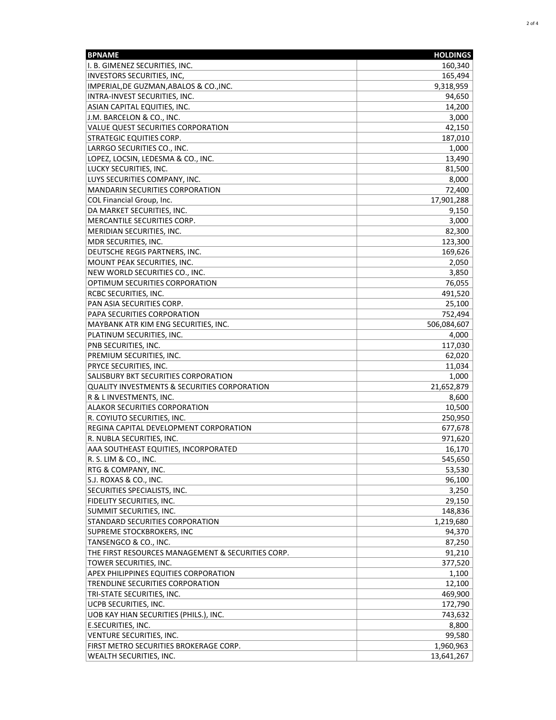| <b>BPNAME</b>                                                   | <b>HOLDINGS</b> |
|-----------------------------------------------------------------|-----------------|
| I. B. GIMENEZ SECURITIES, INC.                                  | 160,340         |
| INVESTORS SECURITIES, INC,                                      | 165,494         |
| IMPERIAL, DE GUZMAN, ABALOS & CO., INC.                         | 9,318,959       |
| INTRA-INVEST SECURITIES, INC.                                   | 94,650          |
| ASIAN CAPITAL EQUITIES, INC.                                    | 14,200          |
| J.M. BARCELON & CO., INC.                                       | 3,000           |
| VALUE QUEST SECURITIES CORPORATION                              | 42,150          |
| <b>STRATEGIC EQUITIES CORP.</b>                                 | 187,010         |
| LARRGO SECURITIES CO., INC.                                     | 1,000           |
| LOPEZ, LOCSIN, LEDESMA & CO., INC.                              | 13,490          |
| LUCKY SECURITIES, INC.                                          | 81,500          |
| LUYS SECURITIES COMPANY, INC.                                   | 8,000           |
| <b>MANDARIN SECURITIES CORPORATION</b>                          | 72,400          |
| COL Financial Group, Inc.                                       | 17,901,288      |
|                                                                 |                 |
| DA MARKET SECURITIES, INC.                                      | 9,150           |
| MERCANTILE SECURITIES CORP.                                     | 3,000           |
| MERIDIAN SECURITIES, INC.                                       | 82,300          |
| MDR SECURITIES, INC.                                            | 123,300         |
| DEUTSCHE REGIS PARTNERS, INC.                                   | 169,626         |
| MOUNT PEAK SECURITIES, INC.                                     | 2,050           |
| NEW WORLD SECURITIES CO., INC.                                  | 3,850           |
| OPTIMUM SECURITIES CORPORATION                                  | 76,055          |
| RCBC SECURITIES, INC.                                           | 491,520         |
| PAN ASIA SECURITIES CORP.                                       | 25,100          |
| PAPA SECURITIES CORPORATION                                     | 752,494         |
| MAYBANK ATR KIM ENG SECURITIES, INC.                            | 506,084,607     |
| PLATINUM SECURITIES, INC.                                       | 4,000           |
| PNB SECURITIES, INC.                                            | 117,030         |
| PREMIUM SECURITIES, INC.                                        | 62,020          |
| PRYCE SECURITIES, INC.                                          | 11,034          |
| SALISBURY BKT SECURITIES CORPORATION                            | 1,000           |
| QUALITY INVESTMENTS & SECURITIES CORPORATION                    | 21,652,879      |
| R & L INVESTMENTS, INC.                                         | 8,600           |
| <b>ALAKOR SECURITIES CORPORATION</b>                            | 10,500          |
| R. COYIUTO SECURITIES, INC.                                     | 250,950         |
| REGINA CAPITAL DEVELOPMENT CORPORATION                          | 677,678         |
| R. NUBLA SECURITIES, INC.                                       | 971,620         |
| AAA SOUTHEAST EQUITIES, INCORPORATED                            | 16,170          |
| R. S. LIM & CO., INC.                                           | 545,650         |
| RTG & COMPANY, INC.                                             | 53,530          |
| S.J. ROXAS & CO., INC.                                          | 96,100          |
| SECURITIES SPECIALISTS, INC.                                    | 3,250           |
| FIDELITY SECURITIES, INC.                                       | 29,150          |
| SUMMIT SECURITIES, INC.                                         | 148,836         |
| STANDARD SECURITIES CORPORATION                                 | 1,219,680       |
| SUPREME STOCKBROKERS, INC                                       | 94,370          |
| TANSENGCO & CO., INC.                                           | 87,250          |
| THE FIRST RESOURCES MANAGEMENT & SECURITIES CORP.               | 91,210          |
| TOWER SECURITIES, INC.                                          | 377,520         |
| APEX PHILIPPINES EQUITIES CORPORATION                           | 1,100           |
| TRENDLINE SECURITIES CORPORATION                                | 12,100          |
|                                                                 |                 |
| TRI-STATE SECURITIES, INC.                                      | 469,900         |
| UCPB SECURITIES, INC.<br>UOB KAY HIAN SECURITIES (PHILS.), INC. | 172,790         |
|                                                                 | 743,632         |
| E.SECURITIES, INC.                                              | 8,800           |
| VENTURE SECURITIES, INC.                                        | 99,580          |
| FIRST METRO SECURITIES BROKERAGE CORP.                          | 1,960,963       |
| WEALTH SECURITIES, INC.                                         | 13,641,267      |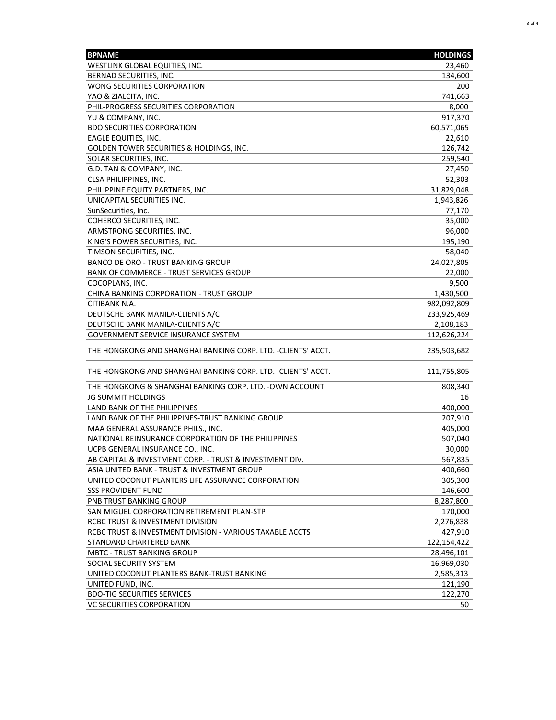| <b>BPNAME</b>                                                | <b>HOLDINGS</b> |
|--------------------------------------------------------------|-----------------|
| WESTLINK GLOBAL EQUITIES, INC.                               | 23,460          |
| BERNAD SECURITIES, INC.                                      | 134,600         |
| WONG SECURITIES CORPORATION                                  | 200             |
| YAO & ZIALCITA, INC.                                         | 741,663         |
| PHIL-PROGRESS SECURITIES CORPORATION                         | 8,000           |
| YU & COMPANY, INC.                                           | 917,370         |
| <b>BDO SECURITIES CORPORATION</b>                            | 60,571,065      |
| EAGLE EQUITIES, INC.                                         | 22,610          |
| GOLDEN TOWER SECURITIES & HOLDINGS, INC.                     | 126,742         |
| SOLAR SECURITIES, INC.                                       | 259,540         |
| G.D. TAN & COMPANY, INC.                                     | 27,450          |
| CLSA PHILIPPINES, INC.                                       | 52,303          |
| PHILIPPINE EQUITY PARTNERS, INC.                             | 31,829,048      |
| UNICAPITAL SECURITIES INC.                                   | 1,943,826       |
| SunSecurities, Inc.                                          | 77,170          |
| COHERCO SECURITIES, INC.                                     | 35,000          |
| ARMSTRONG SECURITIES, INC.                                   | 96,000          |
| KING'S POWER SECURITIES, INC.                                | 195,190         |
| TIMSON SECURITIES, INC.                                      | 58,040          |
| <b>BANCO DE ORO - TRUST BANKING GROUP</b>                    | 24,027,805      |
| <b>BANK OF COMMERCE - TRUST SERVICES GROUP</b>               | 22,000          |
| COCOPLANS, INC.                                              | 9,500           |
| CHINA BANKING CORPORATION - TRUST GROUP                      | 1,430,500       |
| CITIBANK N.A.                                                | 982,092,809     |
| DEUTSCHE BANK MANILA-CLIENTS A/C                             | 233,925,469     |
| DEUTSCHE BANK MANILA-CLIENTS A/C                             | 2,108,183       |
| <b>GOVERNMENT SERVICE INSURANCE SYSTEM</b>                   | 112,626,224     |
| THE HONGKONG AND SHANGHAI BANKING CORP. LTD. -CLIENTS' ACCT. | 235,503,682     |
| THE HONGKONG AND SHANGHAI BANKING CORP. LTD. -CLIENTS' ACCT. | 111,755,805     |
| THE HONGKONG & SHANGHAI BANKING CORP. LTD. - OWN ACCOUNT     | 808,340         |
| <b>JG SUMMIT HOLDINGS</b>                                    | 16              |
| <b>LAND BANK OF THE PHILIPPINES</b>                          | 400,000         |
| LAND BANK OF THE PHILIPPINES-TRUST BANKING GROUP             | 207,910         |
| MAA GENERAL ASSURANCE PHILS., INC.                           | 405,000         |
| NATIONAL REINSURANCE CORPORATION OF THE PHILIPPINES          | 507,040         |
| UCPB GENERAL INSURANCE CO., INC.                             | 30,000          |
| AB CAPITAL & INVESTMENT CORP. - TRUST & INVESTMENT DIV.      | 567,835         |
| ASIA UNITED BANK - TRUST & INVESTMENT GROUP                  | 400,660         |
| UNITED COCONUT PLANTERS LIFE ASSURANCE CORPORATION           | 305,300         |
| <b>SSS PROVIDENT FUND</b>                                    | 146,600         |
| PNB TRUST BANKING GROUP                                      | 8,287,800       |
| SAN MIGUEL CORPORATION RETIREMENT PLAN-STP                   | 170,000         |
| RCBC TRUST & INVESTMENT DIVISION                             | 2,276,838       |
| RCBC TRUST & INVESTMENT DIVISION - VARIOUS TAXABLE ACCTS     | 427,910         |
| STANDARD CHARTERED BANK                                      | 122,154,422     |
| <b>MBTC - TRUST BANKING GROUP</b>                            | 28,496,101      |
| SOCIAL SECURITY SYSTEM                                       | 16,969,030      |
| UNITED COCONUT PLANTERS BANK-TRUST BANKING                   | 2,585,313       |
| UNITED FUND, INC.                                            | 121,190         |
| <b>BDO-TIG SECURITIES SERVICES</b>                           | 122,270         |
| <b>VC SECURITIES CORPORATION</b>                             | 50              |